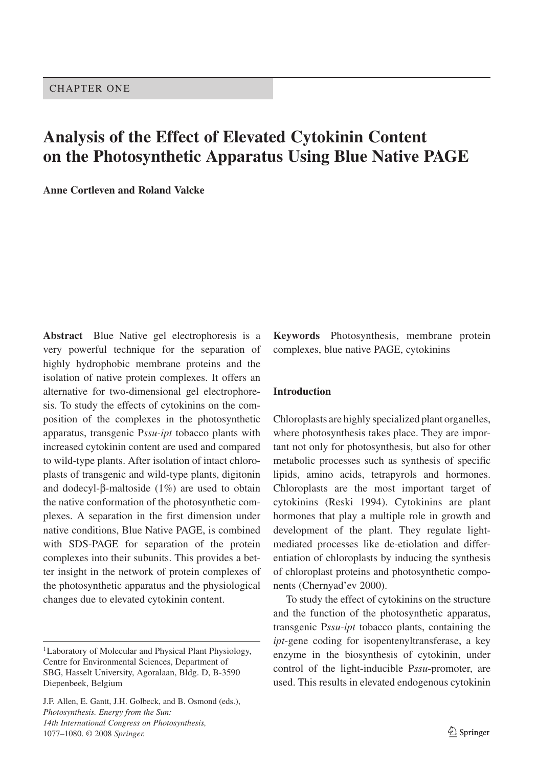# **Analysis of the Effect of Elevated Cytokinin Content on the Photosynthetic Apparatus Using Blue Native PAGE**

**Anne Cortleven and Roland Valcke**

**Abstract** Blue Native gel electrophoresis is a very powerful technique for the separation of highly hydrophobic membrane proteins and the isolation of native protein complexes. It offers an alternative for two-dimensional gel electrophoresis. To study the effects of cytokinins on the composition of the complexes in the photosynthetic apparatus, transgenic P*ssu-ipt* tobacco plants with increased cytokinin content are used and compared to wild-type plants. After isolation of intact chloroplasts of transgenic and wild-type plants, digitonin and dodecyl-β-maltoside (1%) are used to obtain the native conformation of the photosynthetic complexes. A separation in the first dimension under native conditions, Blue Native PAGE, is combined with SDS-PAGE for separation of the protein complexes into their subunits. This provides a better insight in the network of protein complexes of the photosynthetic apparatus and the physiological changes due to elevated cytokinin content.

J.F. Allen, E. Gantt, J.H. Golbeck, and B. Osmond (eds.), *Photosynthesis. Energy from the Sun: 14th International Congress on Photosynthesis,* 1077–1080. © 2008 *Springer.*

**Keywords** Photosynthesis, membrane protein complexes, blue native PAGE, cytokinins

#### **Introduction**

Chloroplasts are highly specialized plant organelles, where photosynthesis takes place. They are important not only for photosynthesis, but also for other metabolic processes such as synthesis of specific lipids, amino acids, tetrapyrols and hormones. Chloroplasts are the most important target of cytokinins (Reski 1994). Cytokinins are plant hormones that play a multiple role in growth and development of the plant. They regulate lightmediated processes like de-etiolation and differentiation of chloroplasts by inducing the synthesis of chloroplast proteins and photosynthetic components (Chernyad'ev 2000).

To study the effect of cytokinins on the structure and the function of the photosynthetic apparatus, transgenic P*ssu-ipt* tobacco plants, containing the *ipt*-gene coding for isopentenyltransferase, a key enzyme in the biosynthesis of cytokinin, under control of the light-inducible P*ssu*-promoter, are used. This results in elevated endogenous cytokinin

<sup>&</sup>lt;sup>1</sup> Laboratory of Molecular and Physical Plant Physiology, Centre for Environmental Sciences, Department of SBG, Hasselt University, Agoralaan, Bldg. D, B-3590 Diepenbeek, Belgium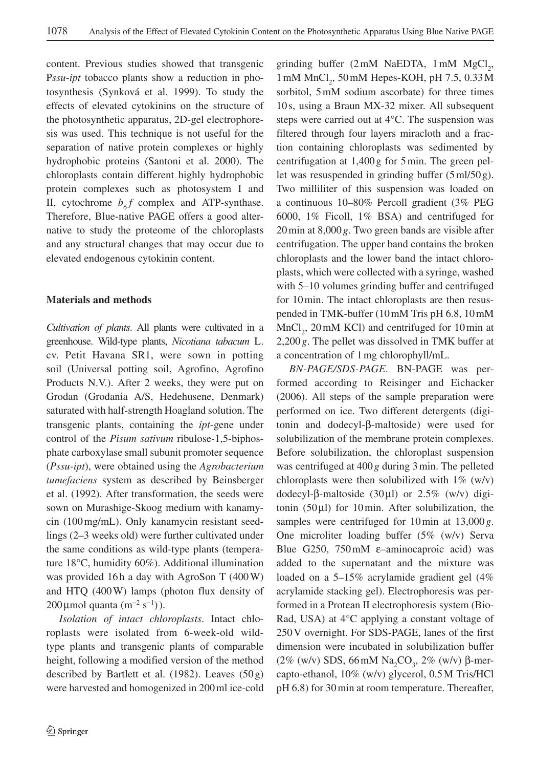content. Previous studies showed that transgenic P*ssu*-*ipt* tobacco plants show a reduction in photosynthesis (Synková et al. 1999). To study the effects of elevated cytokinins on the structure of the photosynthetic apparatus, 2D-gel electrophoresis was used. This technique is not useful for the separation of native protein complexes or highly hydrophobic proteins (Santoni et al. 2000). The chloroplasts contain different highly hydrophobic protein complexes such as photosystem I and II, cytochrome  $b_{6}f$  complex and ATP-synthase. Therefore, Blue-native PAGE offers a good alternative to study the proteome of the chloroplasts and any structural changes that may occur due to elevated endogenous cytokinin content.

#### **Materials and methods**

*Cultivation of plants*. All plants were cultivated in a greenhouse. Wild-type plants, *Nicotiana tabacum* L. cv. Petit Havana SR1, were sown in potting soil (Universal potting soil, Agrofino, Agrofino Products N.V.). After 2 weeks, they were put on Grodan (Grodania A/S, Hedehusene, Denmark) saturated with half-strength Hoagland solution. The transgenic plants, containing the *ipt*-gene under control of the *Pisum sativum* ribulose-1,5-biphosphate carboxylase small subunit promoter sequence (*Pssu-ipt*), were obtained using the *Agrobacterium tumefaciens* system as described by Beinsberger et al. (1992). After transformation, the seeds were sown on Murashige-Skoog medium with kanamycin (100 mg/mL). Only kanamycin resistant seedlings (2–3 weeks old) were further cultivated under the same conditions as wild-type plants (temperature 18°C, humidity 60%). Additional illumination was provided 16h a day with AgroSon T (400 W) and HTQ (400 W) lamps (photon flux density of 200 µmol quanta  $(m^{-2} s^{-1})$ ).

*Isolation of intact chloroplasts*. Intact chloroplasts were isolated from 6-week-old wildtype plants and transgenic plants of comparable height, following a modified version of the method described by Bartlett et al. (1982). Leaves  $(50 g)$ were harvested and homogenized in 200 ml ice-cold

grinding buffer  $(2 \text{ mM } \text{NaEDTA}, 1 \text{ mM } \text{MgCl}_2,$  $1 \text{ mM } MnCl_2$ ,  $50 \text{ mM } Hepes-KOH$ , pH  $7.5$ ,  $0.33 \text{ M }$ sorbitol, 5 mM sodium ascorbate) for three times 10 s, using a Braun MX-32 mixer. All subsequent steps were carried out at 4°C. The suspension was filtered through four layers miracloth and a fraction containing chloroplasts was sedimented by centrifugation at 1,400 g for 5 min. The green pellet was resuspended in grinding buffer (5 ml/50 g). Two milliliter of this suspension was loaded on a continuous 10–80% Percoll gradient (3% PEG 6000, 1% Ficoll, 1% BSA) and centrifuged for 20 min at 8,000 *g*. Two green bands are visible after centrifugation. The upper band contains the broken chloroplasts and the lower band the intact chloroplasts, which were collected with a syringe, washed with 5–10 volumes grinding buffer and centrifuged for 10 min. The intact chloroplasts are then resuspended in TMK-buffer (10 mM Tris pH 6.8, 10 mM  $MnCl<sub>2</sub>$ , 20 mM KCl) and centrifuged for 10 min at 2,200 *g*. The pellet was dissolved in TMK buffer at a concentration of 1 mg chlorophyll/mL.

*BN-PAGE/SDS-PAGE*. BN-PAGE was performed according to Reisinger and Eichacker (2006). All steps of the sample preparation were performed on ice. Two different detergents (digitonin and dodecyl-β-maltoside) were used for solubilization of the membrane protein complexes. Before solubilization, the chloroplast suspension was centrifuged at 400 *g* during 3 min. The pelleted chloroplasts were then solubilized with  $1\%$  (w/v) dodecyl-β-maltoside (30μl) or 2.5% (w/v) digitonin  $(50 \mu l)$  for 10 min. After solubilization, the samples were centrifuged for 10 min at 13,000 *g*. One microliter loading buffer (5% (w/v) Serva Blue G250, 750 mM ε–aminocaproic acid) was added to the supernatant and the mixture was loaded on a 5–15% acrylamide gradient gel (4% acrylamide stacking gel). Electrophoresis was performed in a Protean II electrophoresis system (Bio-Rad, USA) at 4°C applying a constant voltage of 250 V overnight. For SDS-PAGE, lanes of the first dimension were incubated in solubilization buffer  $(2\%$  (w/v) SDS, 66 mM Na<sub>2</sub>CO<sub>3</sub>, 2% (w/v) β-mercapto-ethanol, 10% (w/v) glycerol, 0.5 M Tris/HCl pH 6.8) for 30 min at room temperature. Thereafter,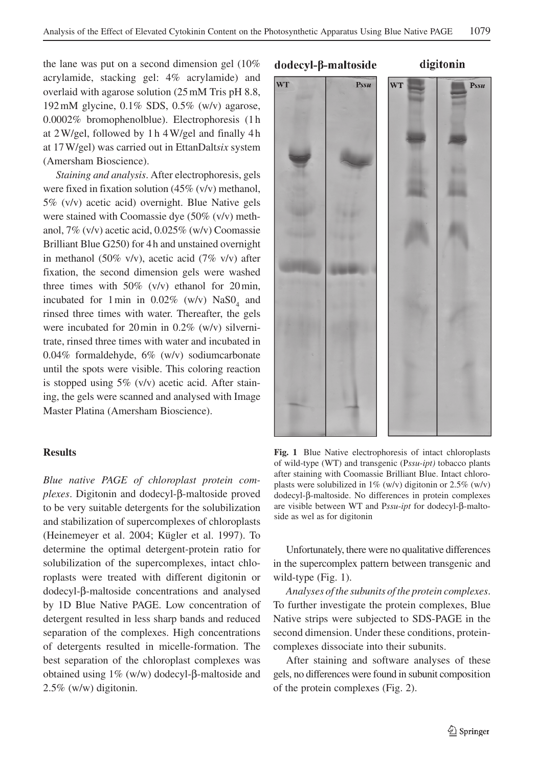the lane was put on a second dimension gel (10% acrylamide, stacking gel: 4% acrylamide) and overlaid with agarose solution (25 mM Tris pH 8.8, 192 mM glycine, 0.1% SDS, 0.5% (w/v) agarose, 0.0002% bromophenolblue). Electrophoresis (1 h at 2 W/gel, followed by 1 h 4 W/gel and finally 4 h at 17 W/gel) was carried out in EttanDalt*six* system (Amersham Bioscience).

*Staining and analysis*. After electrophoresis, gels were fixed in fixation solution (45% (v/v) methanol, 5% (v/v) acetic acid) overnight. Blue Native gels were stained with Coomassie dye (50% (v/v) methanol, 7% (v/v) acetic acid, 0.025% (w/v) Coomassie Brilliant Blue G250) for 4 h and unstained overnight in methanol (50% v/v), acetic acid (7% v/v) after fixation, the second dimension gels were washed three times with  $50\%$  (v/v) ethanol for 20 min, incubated for 1 min in  $0.02\%$  (w/v)  $NaSO_4$  and rinsed three times with water. Thereafter, the gels were incubated for 20 min in 0.2% (w/v) silvernitrate, rinsed three times with water and incubated in 0.04% formaldehyde, 6% (w/v) sodiumcarbonate until the spots were visible. This coloring reaction is stopped using 5% (v/v) acetic acid. After staining, the gels were scanned and analysed with Image Master Platina (Amersham Bioscience).

#### **Results**

*Blue native PAGE of chloroplast protein complexes*. Digitonin and dodecyl-β-maltoside proved to be very suitable detergents for the solubilization and stabilization of supercomplexes of chloroplasts (Heinemeyer et al. 2004; Kügler et al. 1997). To determine the optimal detergent-protein ratio for solubilization of the supercomplexes, intact chloroplasts were treated with different digitonin or dodecyl-β-maltoside concentrations and analysed by 1D Blue Native PAGE. Low concentration of detergent resulted in less sharp bands and reduced separation of the complexes. High concentrations of detergents resulted in micelle-formation. The best separation of the chloroplast complexes was obtained using 1% (w/w) dodecyl-β-maltoside and 2.5% (w/w) digitonin.

### dodecyl-β-maltoside

digitonin



**Fig. 1** Blue Native electrophoresis of intact chloroplasts of wild-type (WT) and transgenic (P*ssu-ipt)* tobacco plants after staining with Coomassie Brilliant Blue. Intact chloroplasts were solubilized in 1% (w/v) digitonin or  $2.5\%$  (w/v) dodecyl-β-maltoside. No differences in protein complexes are visible between WT and P*ssu*-*ipt* for dodecyl-β-maltoside as wel as for digitonin

Unfortunately, there were no qualitative differences in the supercomplex pattern between transgenic and wild-type (Fig. 1).

*Analyses of the subunits of the protein complexes*. To further investigate the protein complexes, Blue Native strips were subjected to SDS-PAGE in the second dimension. Under these conditions, proteincomplexes dissociate into their subunits.

After staining and software analyses of these gels, no differences were found in subunit composition of the protein complexes (Fig. 2).